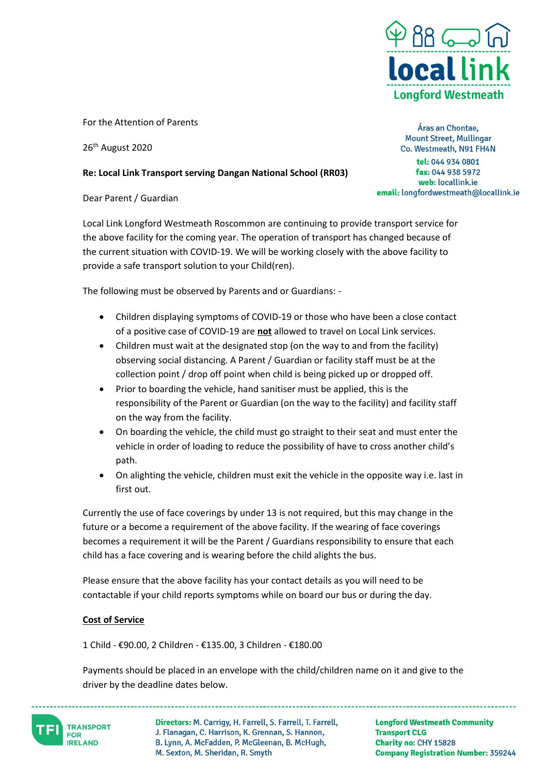

For the Attention of Parents

26<sup>th</sup> August 2020

## **Re: Local Link Transport serving Dangan National School (RR03)**

Dear Parent / Guardian

Local Link Longford Westmeath Roscommon are continuing to provide transport service for the above facility for the coming year. The operation of transport has changed because of the current situation with COVID-19. We will be working closely with the above facility to provide a safe transport solution to your Child(ren).

The following must be observed by Parents and or Guardians: -

- Children displaying symptoms of COVID-19 or those who have been a close contact of a positive case of COVID-19 are **not** allowed to travel on Local Link services.
- Children must wait at the designated stop (on the way to and from the facility) observing social distancing. A Parent / Guardian or facility staff must be at the collection point / drop off point when child is being picked up or dropped off.
- Prior to boarding the vehicle, hand sanitiser must be applied, this is the responsibility of the Parent or Guardian (on the way to the facility) and facility staff on the way from the facility.
- On boarding the vehicle, the child must go straight to their seat and must enter the vehicle in order of loading to reduce the possibility of have to cross another child's path.
- On alighting the vehicle, children must exit the vehicle in the opposite way i.e. last in first out.

Currently the use of face coverings by under 13 is not required, but this may change in the future or a become a requirement of the above facility. If the wearing of face coverings becomes a requirement it will be the Parent / Guardians responsibility to ensure that each child has a face covering and is wearing before the child alights the bus.

Please ensure that the above facility has your contact details as you will need to be contactable if your child reports symptoms while on board our bus or during the day.

## **Cost of Service**

1 Child - €90.00, 2 Children - €135.00, 3 Children - €180.00

Payments should be placed in an envelope with the child/children name on it and give to the driver by the deadline dates below.

**TRANSPORT FOR IRELAND** 

Directors: M. Carrigy, H. Farrell, S. Farrell, T. Farrell, J. Flanagan, C. Harrison, K. Grennan, S. Hannon, B. Lynn, A. McFadden, P. McGleenan, B. McHugh, M. Sexton, M. Sheridan, R. Smyth

**Longford Westmeath Community Transport CLG** Charity no: CHY 15828 **Company Registration Number: 359244** 

Áras an Chontae, **Mount Street, Mullingar** Co. Westmeath, N91 FH4N tel: 044 934 0801 fax: 044 938 5972 web: locallink.ie email: longfordwestmeath@locallink.ie